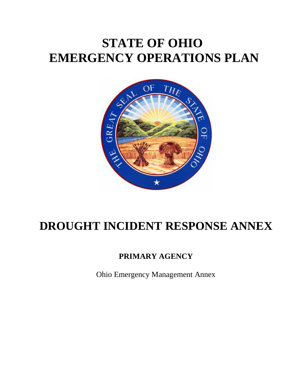# **STATE OF OHIO EMERGENCY OPERATIONS PLAN**



## **DROUGHT INCIDENT RESPONSE ANNEX**

## **PRIMARY AGENCY**

Ohio Emergency Management Annex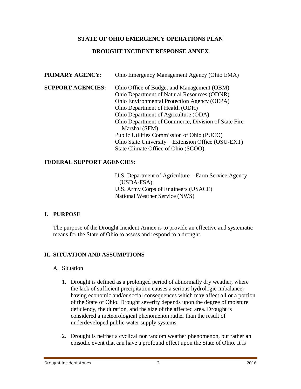#### **STATE OF OHIO EMERGENCY OPERATIONS PLAN**

#### **DROUGHT INCIDENT RESPONSE ANNEX**

| PRIMARY AGENCY:          | Ohio Emergency Management Agency (Ohio EMA)         |
|--------------------------|-----------------------------------------------------|
| <b>SUPPORT AGENCIES:</b> | Ohio Office of Budget and Management (OBM)          |
|                          | Ohio Department of Natural Resources (ODNR)         |
|                          | Ohio Environmental Protection Agency (OEPA)         |
|                          | Ohio Department of Health (ODH)                     |
|                          | Ohio Department of Agriculture (ODA)                |
|                          | Ohio Department of Commerce, Division of State Fire |
|                          | Marshal (SFM)                                       |
|                          | Public Utilities Commission of Ohio (PUCO)          |
|                          | Ohio State University – Extension Office (OSU-EXT)  |
|                          | State Climate Office of Ohio (SCOO)                 |

#### **FEDERAL SUPPORT AGENCIES:**

U.S. Department of Agriculture – Farm Service Agency (USDA-FSA) U.S. Army Corps of Engineers (USACE) National Weather Service (NWS)

#### **I. PURPOSE**

The purpose of the Drought Incident Annex is to provide an effective and systematic means for the State of Ohio to assess and respond to a drought.

#### **II. SITUATION AND ASSUMPTIONS**

#### A. Situation

- 1. Drought is defined as a prolonged period of abnormally dry weather, where the lack of sufficient precipitation causes a serious hydrologic imbalance, having economic and/or social consequences which may affect all or a portion of the State of Ohio. Drought severity depends upon the degree of moisture deficiency, the duration, and the size of the affected area. Drought is considered a meteorological phenomenon rather than the result of underdeveloped public water supply systems.
- 2. Drought is neither a cyclical nor random weather phenomenon, but rather an episodic event that can have a profound effect upon the State of Ohio. It is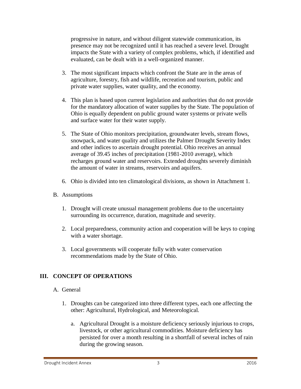progressive in nature, and without diligent statewide communication, its presence may not be recognized until it has reached a severe level. Drought impacts the State with a variety of complex problems, which, if identified and evaluated, can be dealt with in a well-organized manner.

- 3. The most significant impacts which confront the State are in the areas of agriculture, forestry, fish and wildlife, recreation and tourism, public and private water supplies, water quality, and the economy.
- 4. This plan is based upon current legislation and authorities that do not provide for the mandatory allocation of water supplies by the State. The population of Ohio is equally dependent on public ground water systems or private wells and surface water for their water supply.
- 5. The State of Ohio monitors precipitation, groundwater levels, stream flows, snowpack, and water quality and utilizes the Palmer Drought Severity Index and other indices to ascertain drought potential. Ohio receives an annual average of 39.45 inches of precipitation (1981-2010 average), which recharges ground water and reservoirs. Extended droughts severely diminish the amount of water in streams, reservoirs and aquifers.
- 6. Ohio is divided into ten climatological divisions, as shown in Attachment 1.
- B. Assumptions
	- 1. Drought will create unusual management problems due to the uncertainty surrounding its occurrence, duration, magnitude and severity.
	- 2. Local preparedness, community action and cooperation will be keys to coping with a water shortage.
	- 3. Local governments will cooperate fully with water conservation recommendations made by the State of Ohio.

#### **III. CONCEPT OF OPERATIONS**

- A. General
	- 1. Droughts can be categorized into three different types, each one affecting the other: Agricultural, Hydrological, and Meteorological.
		- a. Agricultural Drought is a moisture deficiency seriously injurious to crops, livestock, or other agricultural commodities. Moisture deficiency has persisted for over a month resulting in a shortfall of several inches of rain during the growing season.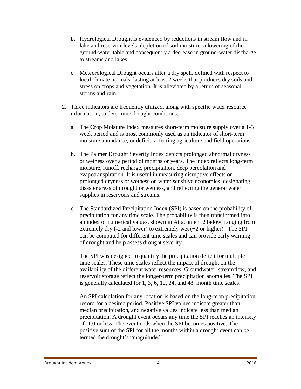- b. Hydrological Drought is evidenced by reductions in stream flow and in lake and reservoir levels, depletion of soil moisture, a lowering of the ground-water table and consequently a decrease in ground-water discharge to streams and lakes.
- c. Meteorological Drought occurs after a dry spell, defined with respect to local climate normals, lasting at least 2 weeks that produces dry soils and stress on crops and vegetation. It is alleviated by a return of seasonal storms and rain.
- 2. Three indicators are frequently utilized, along with specific water resource information, to determine drought conditions.
	- a. The Crop Moisture Index measures short-term moisture supply over a 1-3 week period and is most commonly used as an indicator of short-term moisture abundance, or deficit, affecting agriculture and field operations.
	- b. The Palmer Drought Severity Index depicts prolonged abnormal dryness or wetness over a period of months or years. The index reflects long-term moisture, runoff, recharge, precipitation, deep percolation and evapotranspiration. It is useful in measuring disruptive effects or prolonged dryness or wetness on water sensitive economies, designating disaster areas of drought or wetness, and reflecting the general water supplies in reservoirs and streams.
	- c. The Standardized Precipitation Index (SPI) is based on the probability of precipitation for any time scale. The probability is then transformed into an index of numerical values, shown in Attachment 2 below, ranging from extremely dry  $(-2 \text{ and lower})$  to extremely wet  $(+2 \text{ or higher})$ . The SPI can be computed for different time scales and can provide early warning of drought and help assess drought severity.

The SPI was designed to quantify the precipitation deficit for multiple time scales. These time scales reflect the impact of drought on the availability of the different water resources. Groundwater, streamflow, and reservoir storage reflect the longer-term precipitation anomalies. The SPI is generally calculated for 1, 3, 6, 12, 24, and 48–month time scales.

An SPI calculation for any location is based on the long-term precipitation record for a desired period. Positive SPI values indicate greater than median precipitation, and negative values indicate less than median precipitation. A drought event occurs any time the SPI reaches an intensity of -1.0 or less. The event ends when the SPI becomes positive. The positive sum of the SPI for all the months within a drought event can be termed the drought's "magnitude."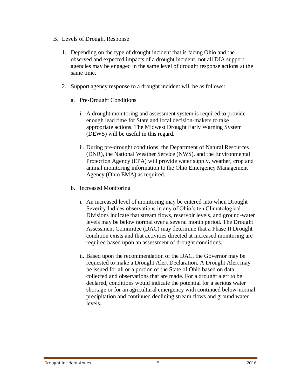- B. Levels of Drought Response
	- 1. Depending on the type of drought incident that is facing Ohio and the observed and expected impacts of a drought incident, not all DIA support agencies may be engaged in the same level of drought response actions at the same time.
	- 2. Support agency response to a drought incident will be as follows:
		- a. Pre-Drought Conditions
			- i. A drought monitoring and assessment system is required to provide enough lead time for State and local decision-makers to take appropriate actions. The Midwest Drought Early Warning System (DEWS) will be useful in this regard.
			- ii. During pre-drought conditions, the Department of Natural Resources (DNR), the National Weather Service (NWS), and the Environmental Protection Agency (EPA) will provide water supply, weather, crop and animal monitoring information to the Ohio Emergency Management Agency (Ohio EMA) as required.
		- b. Increased Monitoring
			- i. An increased level of monitoring may be entered into when Drought Severity Indices observations in any of Ohio's ten Climatological Divisions indicate that stream flows, reservoir levels, and ground-water levels may be below normal over a several month period. The Drought Assessment Committee (DAC) may determine that a Phase II Drought condition exists and that activities directed at increased monitoring are required based upon an assessment of drought conditions.
			- ii. Based upon the recommendation of the DAC, the Governor may be requested to make a Drought Alert Declaration. A Drought Alert may be issued for all or a portion of the State of Ohio based on data collected and observations that are made. For a drought alert to be declared, conditions would indicate the potential for a serious water shortage or for an agricultural emergency with continued below-normal precipitation and continued declining stream flows and ground water levels.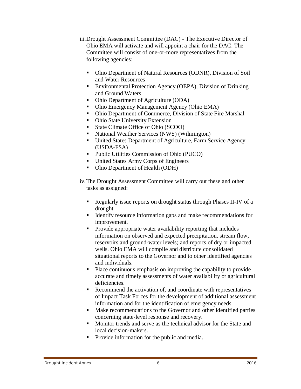- iii.Drought Assessment Committee (DAC) The Executive Director of Ohio EMA will activate and will appoint a chair for the DAC. The Committee will consist of one-or-more representatives from the following agencies:
	- Ohio Department of Natural Resources (ODNR), Division of Soil and Water Resources
	- Environmental Protection Agency (OEPA), Division of Drinking and Ground Waters
	- Ohio Department of Agriculture (ODA)
	- Ohio Emergency Management Agency (Ohio EMA)
	- Ohio Department of Commerce, Division of State Fire Marshal
	- Ohio State University Extension
	- State Climate Office of Ohio (SCOO)
	- National Weather Services (NWS) (Wilmington)
	- United States Department of Agriculture, Farm Service Agency (USDA-FSA)
	- Public Utilities Commission of Ohio (PUCO)
	- United States Army Corps of Engineers
	- Ohio Department of Health (ODH)

iv.The Drought Assessment Committee will carry out these and other tasks as assigned:

- Regularly issue reports on drought status through Phases II-IV of a drought.
- Identify resource information gaps and make recommendations for improvement.
- Provide appropriate water availability reporting that includes information on observed and expected precipitation, stream flow, reservoirs and ground-water levels; and reports of dry or impacted wells. Ohio EMA will compile and distribute consolidated situational reports to the Governor and to other identified agencies and individuals.
- Place continuous emphasis on improving the capability to provide accurate and timely assessments of water availability or agricultural deficiencies.
- Recommend the activation of, and coordinate with representatives of Impact Task Forces for the development of additional assessment information and for the identification of emergency needs.
- Make recommendations to the Governor and other identified parties concerning state-level response and recovery.
- Monitor trends and serve as the technical advisor for the State and local decision-makers.
- Provide information for the public and media.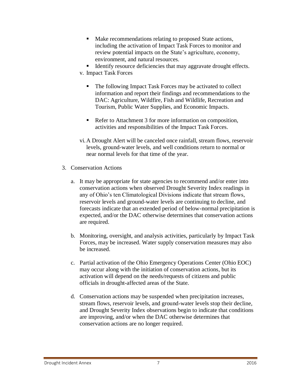- Make recommendations relating to proposed State actions, including the activation of Impact Task Forces to monitor and review potential impacts on the State's agriculture, economy, environment, and natural resources.
- Identify resource deficiencies that may aggravate drought effects.
- v. Impact Task Forces
	- The following Impact Task Forces may be activated to collect information and report their findings and recommendations to the DAC: Agriculture, Wildfire, Fish and Wildlife, Recreation and Tourism, Public Water Supplies, and Economic Impacts.
	- Refer to Attachment 3 for more information on composition, activities and responsibilities of the Impact Task Forces.
- vi.A Drought Alert will be canceled once rainfall, stream flows, reservoir levels, ground-water levels, and well conditions return to normal or near normal levels for that time of the year.
- 3. Conservation Actions
	- a. It may be appropriate for state agencies to recommend and/or enter into conservation actions when observed Drought Severity Index readings in any of Ohio's ten Climatological Divisions indicate that stream flows, reservoir levels and ground-water levels are continuing to decline, and forecasts indicate that an extended period of below-normal precipitation is expected, and/or the DAC otherwise determines that conservation actions are required.
	- b. Monitoring, oversight, and analysis activities, particularly by Impact Task Forces, may be increased. Water supply conservation measures may also be increased.
	- c. Partial activation of the Ohio Emergency Operations Center (Ohio EOC) may occur along with the initiation of conservation actions, but its activation will depend on the needs/requests of citizens and public officials in drought-affected areas of the State.
	- d. Conservation actions may be suspended when precipitation increases, stream flows, reservoir levels, and ground-water levels stop their decline, and Drought Severity Index observations begin to indicate that conditions are improving, and/or when the DAC otherwise determines that conservation actions are no longer required.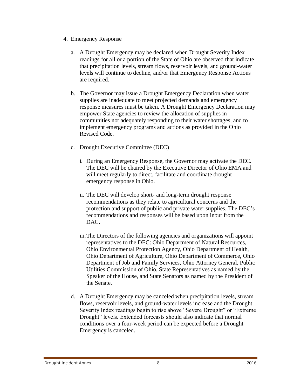- 4. Emergency Response
	- a. A Drought Emergency may be declared when Drought Severity Index readings for all or a portion of the State of Ohio are observed that indicate that precipitation levels, stream flows, reservoir levels, and ground-water levels will continue to decline, and/or that Emergency Response Actions are required.
	- b. The Governor may issue a Drought Emergency Declaration when water supplies are inadequate to meet projected demands and emergency response measures must be taken. A Drought Emergency Declaration may empower State agencies to review the allocation of supplies in communities not adequately responding to their water shortages, and to implement emergency programs and actions as provided in the Ohio Revised Code.
	- c. Drought Executive Committee (DEC)
		- i. During an Emergency Response, the Governor may activate the DEC. The DEC will be chaired by the Executive Director of Ohio EMA and will meet regularly to direct, facilitate and coordinate drought emergency response in Ohio.
		- ii. The DEC will develop short- and long-term drought response recommendations as they relate to agricultural concerns and the protection and support of public and private water supplies. The DEC's recommendations and responses will be based upon input from the DAC.
		- iii.The Directors of the following agencies and organizations will appoint representatives to the DEC: Ohio Department of Natural Resources, Ohio Environmental Protection Agency, Ohio Department of Health, Ohio Department of Agriculture, Ohio Department of Commerce, Ohio Department of Job and Family Services, Ohio Attorney General, Public Utilities Commission of Ohio, State Representatives as named by the Speaker of the House, and State Senators as named by the President of the Senate.
	- d. A Drought Emergency may be canceled when precipitation levels, stream flows, reservoir levels, and ground-water levels increase and the Drought Severity Index readings begin to rise above "Severe Drought" or "Extreme Drought" levels. Extended forecasts should also indicate that normal conditions over a four-week period can be expected before a Drought Emergency is canceled.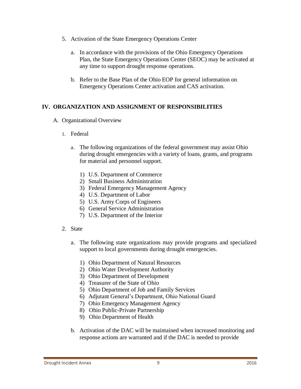- 5. Activation of the State Emergency Operations Center
	- a. In accordance with the provisions of the Ohio Emergency Operations Plan, the State Emergency Operations Center (SEOC) may be activated at any time to support drought response operations.
	- b. Refer to the Base Plan of the Ohio EOP for general information on Emergency Operations Center activation and CAS activation.

#### **IV. ORGANIZATION AND ASSIGNMENT OF RESPONSIBILITIES**

- A. Organizational Overview
	- 1. Federal
		- a. The following organizations of the federal government may assist Ohio during drought emergencies with a variety of loans, grants, and programs for material and personnel support.
			- 1) U.S. Department of Commerce
			- 2) Small Business Administration
			- 3) Federal Emergency Management Agency
			- 4) U.S. Department of Labor
			- 5) U.S. Army Corps of Engineers
			- 6) General Service Administration
			- 7) U.S. Department of the Interior
	- 2. State
		- a. The following state organizations may provide programs and specialized support to local governments during drought emergencies.
			- 1) Ohio Department of Natural Resources
			- 2) Ohio Water Development Authority
			- 3) Ohio Department of Development
			- 4) Treasurer of the State of Ohio
			- 5) Ohio Department of Job and Family Services
			- 6) Adjutant General's Department, Ohio National Guard
			- 7) Ohio Emergency Management Agency
			- 8) Ohio Public-Private Partnership
			- 9) Ohio Department of Health
		- b. Activation of the DAC will be maintained when increased monitoring and response actions are warranted and if the DAC is needed to provide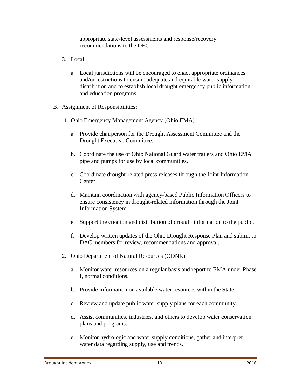appropriate state-level assessments and response/recovery recommendations to the DEC.

- 3. Local
	- a. Local jurisdictions will be encouraged to enact appropriate ordinances and/or restrictions to ensure adequate and equitable water supply distribution and to establish local drought emergency public information and education programs.
- B. Assignment of Responsibilities:
	- 1. Ohio Emergency Management Agency (Ohio EMA)
		- a. Provide chairperson for the Drought Assessment Committee and the Drought Executive Committee.
		- b. Coordinate the use of Ohio National Guard water trailers and Ohio EMA pipe and pumps for use by local communities.
		- c. Coordinate drought-related press releases through the Joint Information Center.
		- d. Maintain coordination with agency-based Public Information Officers to ensure consistency in drought-related information through the Joint Information System.
		- e. Support the creation and distribution of drought information to the public.
		- f. Develop written updates of the Ohio Drought Response Plan and submit to DAC members for review, recommendations and approval.
	- 2. Ohio Department of Natural Resources (ODNR)
		- a. Monitor water resources on a regular basis and report to EMA under Phase I, normal conditions.
		- b. Provide information on available water resources within the State.
		- c. Review and update public water supply plans for each community.
		- d. Assist communities, industries, and others to develop water conservation plans and programs.
		- e. Monitor hydrologic and water supply conditions, gather and interpret water data regarding supply, use and trends.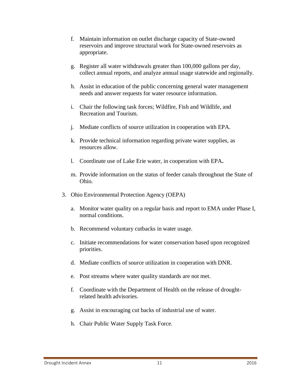- f. Maintain information on outlet discharge capacity of State-owned reservoirs and improve structural work for State-owned reservoirs as appropriate.
- g. Register all water withdrawals greater than 100,000 gallons per day, collect annual reports, and analyze annual usage statewide and regionally.
- h. Assist in education of the public concerning general water management needs and answer requests for water resource information.
- i. Chair the following task forces; Wildfire, Fish and Wildlife, and Recreation and Tourism.
- j. Mediate conflicts of source utilization in cooperation with EPA.
- k. Provide technical information regarding private water supplies, as resources allow.
- l. Coordinate use of Lake Erie water, in cooperation with EPA**.**
- m. Provide information on the status of feeder canals throughout the State of Ohio.
- 3. Ohio Environmental Protection Agency (OEPA)
	- a. Monitor water quality on a regular basis and report to EMA under Phase I, normal conditions.
	- b. Recommend voluntary cutbacks in water usage.
	- c. Initiate recommendations for water conservation based upon recognized priorities.
	- d. Mediate conflicts of source utilization in cooperation with DNR.
	- e. Post streams where water quality standards are not met.
	- f. Coordinate with the Department of Health on the release of droughtrelated health advisories.
	- g. Assist in encouraging cut backs of industrial use of water.
	- h. Chair Public Water Supply Task Force.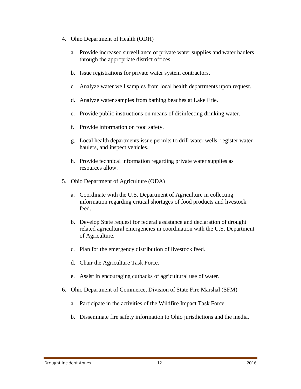- 4. Ohio Department of Health (ODH)
	- a. Provide increased surveillance of private water supplies and water haulers through the appropriate district offices.
	- b. Issue registrations for private water system contractors.
	- c. Analyze water well samples from local health departments upon request.
	- d. Analyze water samples from bathing beaches at Lake Erie.
	- e. Provide public instructions on means of disinfecting drinking water.
	- f. Provide information on food safety.
	- g. Local health departments issue permits to drill water wells, register water haulers, and inspect vehicles.
	- h. Provide technical information regarding private water supplies as resources allow.
- 5. Ohio Department of Agriculture (ODA)
	- a. Coordinate with the U.S. Department of Agriculture in collecting information regarding critical shortages of food products and livestock feed.
	- b. Develop State request for federal assistance and declaration of drought related agricultural emergencies in coordination with the U.S. Department of Agriculture.
	- c. Plan for the emergency distribution of livestock feed.
	- d. Chair the Agriculture Task Force.
	- e. Assist in encouraging cutbacks of agricultural use of water.
- 6. Ohio Department of Commerce, Division of State Fire Marshal (SFM)
	- a. Participate in the activities of the Wildfire Impact Task Force
	- b. Disseminate fire safety information to Ohio jurisdictions and the media.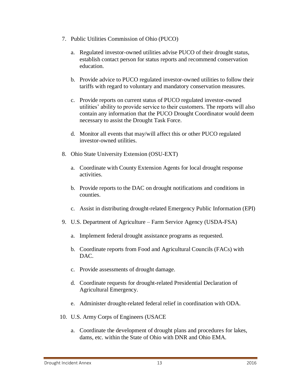- 7. Public Utilities Commission of Ohio (PUCO)
	- a. Regulated investor-owned utilities advise PUCO of their drought status, establish contact person for status reports and recommend conservation education.
	- b. Provide advice to PUCO regulated investor-owned utilities to follow their tariffs with regard to voluntary and mandatory conservation measures.
	- c. Provide reports on current status of PUCO regulated investor-owned utilities' ability to provide service to their customers. The reports will also contain any information that the PUCO Drought Coordinator would deem necessary to assist the Drought Task Force.
	- d. Monitor all events that may/will affect this or other PUCO regulated investor-owned utilities.
- 8. Ohio State University Extension (OSU-EXT)
	- a. Coordinate with County Extension Agents for local drought response activities.
	- b. Provide reports to the DAC on drought notifications and conditions in counties.
	- c. Assist in distributing drought-related Emergency Public Information (EPI)
- 9. U.S. Department of Agriculture Farm Service Agency (USDA-FSA)
	- a. Implement federal drought assistance programs as requested.
	- b. Coordinate reports from Food and Agricultural Councils (FACs) with DAC.
	- c. Provide assessments of drought damage.
	- d. Coordinate requests for drought-related Presidential Declaration of Agricultural Emergency.
	- e. Administer drought-related federal relief in coordination with ODA.
- 10. U.S. Army Corps of Engineers (USACE
	- a. Coordinate the development of drought plans and procedures for lakes, dams, etc. within the State of Ohio with DNR and Ohio EMA.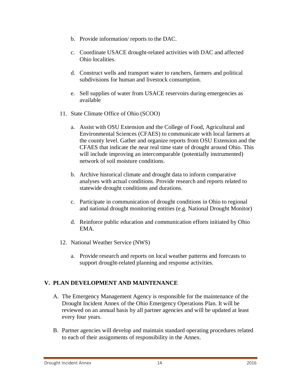- b. Provide information/ reports to the DAC.
- c. Coordinate USACE drought-related activities with DAC and affected Ohio localities.
- d. Construct wells and transport water to ranchers, farmers and political subdivisions for human and livestock consumption.
- e. Sell supplies of water from USACE reservoirs during emergencies as available
- 11. State Climate Office of Ohio (SCOO)
	- a. Assist with OSU Extension and the College of Food, Agricultural and Environmental Sciences (CFAES) to communicate with local farmers at the county level. Gather and organize reports from OSU Extension and the CFAES that indicate the near real time state of drought around Ohio. This will include improving an intercomparable (potentially instrumented) network of soil moisture conditions.
	- b. Archive historical climate and drought data to inform comparative analyses with actual conditions. Provide research and reports related to statewide drought conditions and durations.
	- c. Participate in communication of drought conditions in Ohio to regional and national drought monitoring entities (e.g. National Drought Monitor)
	- d. Reinforce public education and communication efforts initiated by Ohio EMA.
- 12. National Weather Service (NWS)
	- a. Provide research and reports on local weather patterns and forecasts to support drought-related planning and response activities.

#### **V. PLAN DEVELOPMENT AND MAINTENANCE**

- A. The Emergency Management Agency is responsible for the maintenance of the Drought Incident Annex of the Ohio Emergency Operations Plan. It will be reviewed on an annual basis by all partner agencies and will be updated at least every four years.
- B. Partner agencies will develop and maintain standard operating procedures related to each of their assignments of responsibility in the Annex.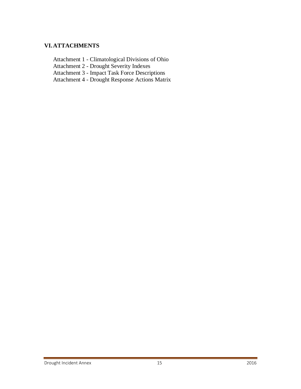#### **VI.ATTACHMENTS**

Attachment 1 - Climatological Divisions of Ohio

Attachment 2 - Drought Severity Indexes

Attachment 3 - Impact Task Force Descriptions

Attachment 4 - Drought Response Actions Matrix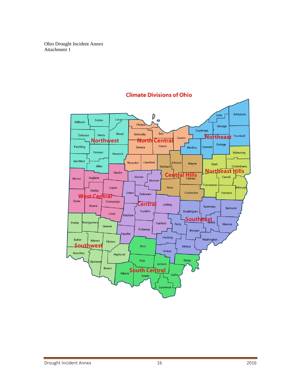Ohio Drought Incident Annex Attachment 1



## **Climate Divisions of Ohio**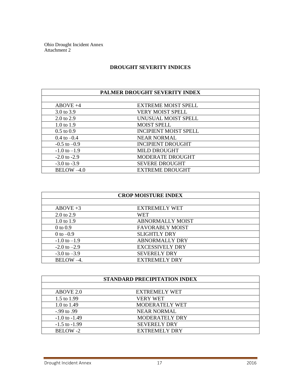Ohio Drought Incident Annex Attachment 2

#### **DROUGHT SEVERITY INDICES**

| PALMER DROUGHT SEVERITY INDEX |                              |  |  |  |
|-------------------------------|------------------------------|--|--|--|
|                               |                              |  |  |  |
| $ABOVE +4$                    | <b>EXTREME MOIST SPELL</b>   |  |  |  |
| 3.0 to 3.9                    | VERY MOIST SPELL             |  |  |  |
| $2.0 \text{ to } 2.9$         | UNUSUAL MOIST SPELL          |  |  |  |
| $1.0 \text{ to } 1.9$         | <b>MOIST SPELL</b>           |  |  |  |
| $0.5 \text{ to } 0.9$         | <b>INCIPIENT MOIST SPELL</b> |  |  |  |
| $0.4 \text{ to } -0.4$        | <b>NEAR NORMAL</b>           |  |  |  |
| $-0.5$ to $-0.9$              | <b>INCIPIENT DROUGHT</b>     |  |  |  |
| $-1.0$ to $-1.9$              | <b>MILD DROUGHT</b>          |  |  |  |
| $-2.0$ to $-2.9$              | MODERATE DROUGHT             |  |  |  |
| $-3.0$ to $-3.9$              | <b>SEVERE DROUGHT</b>        |  |  |  |
| $BELOW -4.0$                  | <b>EXTREME DROUGHT</b>       |  |  |  |

| <b>CROP MOISTURE INDEX</b> |                         |  |  |
|----------------------------|-------------------------|--|--|
|                            |                         |  |  |
| $ABOVE +3$                 | <b>EXTREMELY WET</b>    |  |  |
| 2.0 to 2.9                 | WET                     |  |  |
| 1.0 to 1.9                 | <b>ABNORMALLY MOIST</b> |  |  |
| $0$ to $0.9$               | <b>FAVORABLY MOIST</b>  |  |  |
| 0 to $-0.9$                | <b>SLIGHTLY DRY</b>     |  |  |
| $-1.0$ to $-1.9$           | <b>ABNORMALLY DRY</b>   |  |  |
| $-2.0$ to $-2.9$           | <b>EXCESSIVELY DRY</b>  |  |  |
| $-3.0$ to $-3.9$           | <b>SEVERELY DRY</b>     |  |  |
| BELOW-4.                   | <b>EXTREMELY DRY</b>    |  |  |

| STANDARD PRECIPITATION INDEX |                       |  |  |  |
|------------------------------|-----------------------|--|--|--|
|                              |                       |  |  |  |
| ABOVE 2.0                    | <b>EXTREMELY WET</b>  |  |  |  |
| 1.5 to 1.99                  | <b>VERY WET</b>       |  |  |  |
| 1.0 to 1.49                  | <b>MODERATELY WET</b> |  |  |  |
| $-.99$ to $.99$              | <b>NEAR NORMAL</b>    |  |  |  |
| $-1.0$ to $-1.49$            | <b>MODERATELY DRY</b> |  |  |  |
| $-1.5$ to $-1.99$            | <b>SEVERELY DRY</b>   |  |  |  |
| BELOW-2                      | EXTREMELY DRY         |  |  |  |

**Drought Incident Annex** 17 2016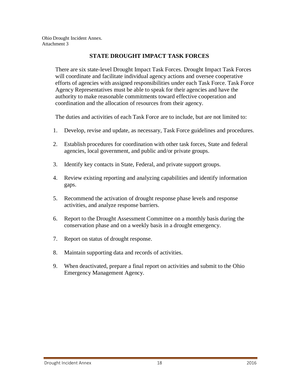#### **STATE DROUGHT IMPACT TASK FORCES**

There are six state-level Drought Impact Task Forces. Drought Impact Task Forces will coordinate and facilitate individual agency actions and oversee cooperative efforts of agencies with assigned responsibilities under each Task Force. Task Force Agency Representatives must be able to speak for their agencies and have the authority to make reasonable commitments toward effective cooperation and coordination and the allocation of resources from their agency.

The duties and activities of each Task Force are to include, but are not limited to:

- 1. Develop, revise and update, as necessary, Task Force guidelines and procedures.
- 2. Establish procedures for coordination with other task forces, State and federal agencies, local government, and public and/or private groups.
- 3. Identify key contacts in State, Federal, and private support groups.
- 4. Review existing reporting and analyzing capabilities and identify information gaps.
- 5. Recommend the activation of drought response phase levels and response activities, and analyze response barriers.
- 6. Report to the Drought Assessment Committee on a monthly basis during the conservation phase and on a weekly basis in a drought emergency.
- 7. Report on status of drought response.
- 8. Maintain supporting data and records of activities.
- 9. When deactivated, prepare a final report on activities and submit to the Ohio Emergency Management Agency.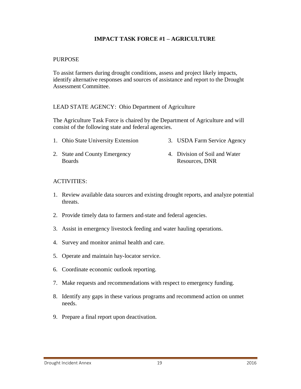#### **IMPACT TASK FORCE #1 – AGRICULTURE**

#### PURPOSE

To assist farmers during drought conditions, assess and project likely impacts, identify alternative responses and sources of assistance and report to the Drought Assessment Committee.

#### LEAD STATE AGENCY: Ohio Department of Agriculture

The Agriculture Task Force is chaired by the Department of Agriculture and will consist of the following state and federal agencies.

- 1. Ohio State University Extension 3. USDA Farm Service Agency
- 2. State and County Emergency **Boards** 4. Division of Soil and Water Resources, DNR

#### ACTIVITIES:

- 1. Review available data sources and existing drought reports, and analyze potential threats.
- 2. Provide timely data to farmers and state and federal agencies.
- 3. Assist in emergency livestock feeding and water hauling operations.
- 4. Survey and monitor animal health and care.
- 5. Operate and maintain hay-locator service.
- 6. Coordinate economic outlook reporting.
- 7. Make requests and recommendations with respect to emergency funding.
- 8. Identify any gaps in these various programs and recommend action on unmet needs.
- 9. Prepare a final report upon deactivation.

#### Drought Incident Annex 19 2016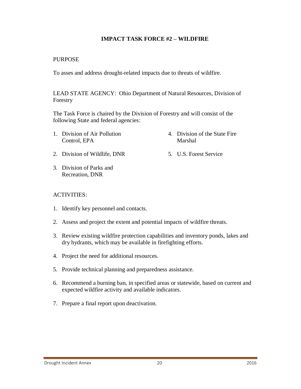#### **IMPACT TASK FORCE #2 – WILDFIRE**

#### PURPOSE

To asses and address drought-related impacts due to threats of wildfire.

LEAD STATE AGENCY: Ohio Department of Natural Resources, Division of Forestry

The Task Force is chaired by the Division of Forestry and will consist of the following State and federal agencies:

1. Division of Air Pollution Control, EPA

4. Division of the State Fire Marshal

5. U.S. Forest Service

- 2. Division of Wildlife, DNR
- 3. Division of Parks and Recreation, DNR

#### ACTIVITIES:

- 1. Identify key personnel and contacts.
- 2. Assess and project the extent and potential impacts of wildfire threats.
- 3. Review existing wildfire protection capabilities and inventory ponds, lakes and dry hydrants, which may be available in firefighting efforts.
- 4. Project the need for additional resources.
- 5. Provide technical planning and preparedness assistance.
- 6. Recommend a burning ban, in specified areas or statewide, based on current and expected wildfire activity and available indicators.
- 7. Prepare a final report upon deactivation.

Drought Incident Annex 20 2016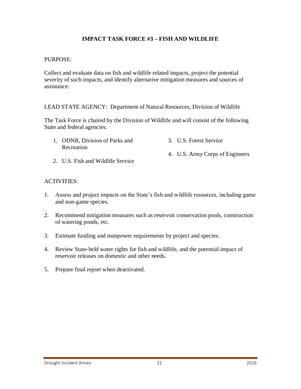### **IMPACT TASK FORCE #3 – FISH AND WILDLIFE**

#### PURPOSE:

Collect and evaluate data on fish and wildlife related impacts, project the potential severity of such impacts, and identify alternative mitigation measures and sources of assistance.

LEAD STATE AGENCY:Department of Natural Resources, Division of Wildlife

The Task Force is chaired by the Division of Wildlife and will consist of the following State and federal agencies:

- 1. ODNR, Division of Parks and Recreation 3. U.S. Forest Service 4. U.S. Army Corps of Engineers
- 2. U.S. Fish and Wildlife Service

#### ACTIVITIES:

- 1. Assess and project impacts on the State's fish and wildlife resources, including game and non-game species.
- 2. Recommend mitigation measures such as reservoir conservation pools, construction of watering ponds, etc.
- 3. Estimate funding and manpower requirements by project and species.
- 4. Review State-held water rights for fish and wildlife, and the potential impact of reservoir releases on domestic and other needs.
- 5. Prepare final report when deactivated.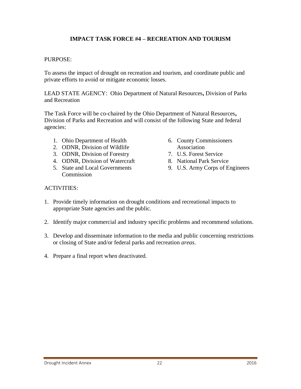### **IMPACT TASK FORCE #4 – RECREATION AND TOURISM**

#### PURPOSE:

To assess the impact of drought on recreation and tourism, and coordinate public and private efforts to avoid or mitigate economic losses.

LEAD STATE AGENCY:Ohio Department of Natural Resources**,** Division of Parks and Recreation

The Task Force will be co-chaired by the Ohio Department of Natural Resources**,**  Division of Parks and Recreation and will consist of the following State and federal agencies:

- 1. Ohio Department of Health
- 2. ODNR, Division of Wildlife
- 3. ODNR, Division of Forestry
- 4. ODNR, Division of Watercraft
- 5. State and Local Governments **Commission**
- 6. County Commissioners Association
- 7. U.S. Forest Service
- 8. National Park Service
- 9. U.S. Army Corps of Engineers

#### ACTIVITIES:

- 1. Provide timely information on drought conditions and recreational impacts to appropriate State agencies and the public.
- 2. Identify major commercial and industry specific problems and recommend solutions.
- 3. Develop and disseminate information to the media and public concerning restrictions or closing of State and/or federal parks and recreation *areas*.
- 4. Prepare a final report when deactivated.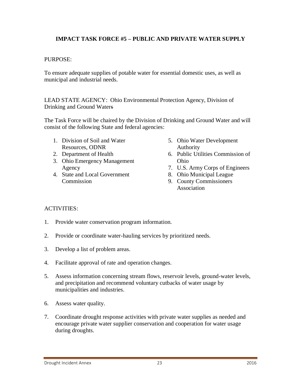### **IMPACT TASK FORCE #5 – PUBLIC AND PRIVATE WATER SUPPLY**

#### PURPOSE:

To ensure adequate supplies of potable water for essential domestic uses, as well as municipal and industrial needs.

LEAD STATE AGENCY: Ohio Environmental Protection Agency, Division of Drinking and Ground Waters

The Task Force will be chaired by the Division of Drinking and Ground Water and will consist of the following State and federal agencies:

- 1. Division of Soil and Water Resources, ODNR
- 2. Department of Health
- 3. Ohio Emergency Management Agency
- 4. State and Local Government Commission
- 5. Ohio Water Development Authority
- 6. Public Utilities Commission of Ohio
- 7. U.S. Army Corps of Engineers
- 8. Ohio Municipal League
- 9. County Commissioners Association

#### ACTIVITIES:

- 1. Provide water conservation program information.
- 2. Provide or coordinate water-hauling services by prioritized needs.
- 3. Develop a list of problem areas.
- 4. Facilitate approval of rate and operation changes.
- 5. Assess information concerning stream flows, reservoir levels, ground-water levels, and precipitation and recommend voluntary cutbacks of water usage by municipalities and industries.
- 6. Assess water quality.
- 7. Coordinate drought response activities with private water supplies as needed and encourage private water supplier conservation and cooperation for water usage during droughts.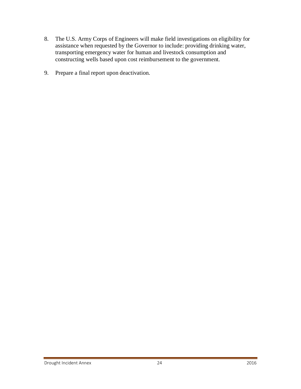- 8. The U.S. Army Corps of Engineers will make field investigations on eligibility for assistance when requested by the Governor to include: providing drinking water, transporting emergency water for human and livestock consumption and constructing wells based upon cost reimbursement to the government.
- 9. Prepare a final report upon deactivation.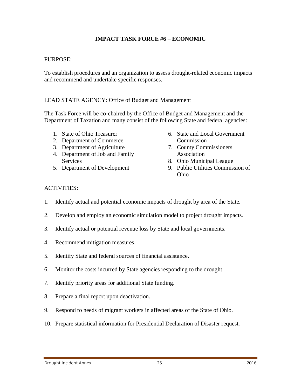#### **IMPACT TASK FORCE #6** – **ECONOMIC**

#### PURPOSE:

To establish procedures and an organization to assess drought-related economic impacts and recommend and undertake specific responses.

#### LEAD STATE AGENCY: Office of Budget and Management

The Task Force will be co-chaired by the Office of Budget and Management and the Department of Taxation and many consist of the following State and federal agencies:

- 1. State of Ohio Treasurer
- 2. Department of Commerce
- 3. Department of Agriculture
- 4. Department of Job and Family **Services**
- 5. Department of Development
- 6. State and Local Government Commission
- 7. County Commissioners Association
- 8. Ohio Municipal League
- 9. Public Utilities Commission of Ohio

#### ACTIVITIES:

- 1. Identify actual and potential economic impacts of drought by area of the State.
- 2. Develop and employ an economic simulation model to project drought impacts.
- 3. Identify actual or potential revenue loss by State and local governments.
- 4. Recommend mitigation measures.
- 5. Identify State and federal sources of financial assistance.
- 6. Monitor the costs incurred by State agencies responding to the drought.
- 7. Identify priority areas for additional State funding.
- 8. Prepare a final report upon deactivation.
- 9. Respond to needs of migrant workers in affected areas of the State of Ohio.
- 10. Prepare statistical information for Presidential Declaration of Disaster request.

#### Drought Incident Annex 25 2016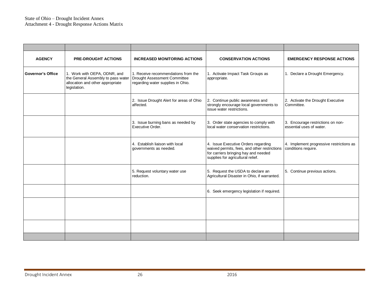#### State of Ohio – Drought Incident Annex Attachment 4 - Drought Response Actions Matrix

| <b>AGENCY</b>            | <b>PRE-DROUGHT ACTIONS</b>                                                                                             | <b>INCREASED MONITORING ACTIONS</b>                                                                      | <b>CONSERVATION ACTIONS</b>                                                                                                                                      | <b>EMERGENCY RESPONSE ACTIONS</b>                               |
|--------------------------|------------------------------------------------------------------------------------------------------------------------|----------------------------------------------------------------------------------------------------------|------------------------------------------------------------------------------------------------------------------------------------------------------------------|-----------------------------------------------------------------|
| <b>Governor's Office</b> | 1. Work with OEPA, ODNR, and<br>the General Assembly to pass water<br>allocation and other appropriate<br>legislation. | 1. Receive recommendations from the<br>Drought Assessment Committee<br>regarding water supplies in Ohio. | 1. Activate Impact Task Groups as<br>appropriate.                                                                                                                | 1. Declare a Drought Emergency.                                 |
|                          |                                                                                                                        | 2. Issue Drought Alert for areas of Ohio<br>affected.                                                    | 2. Continue public awareness and<br>strongly encourage local governments to<br>issue water restrictions.                                                         | 2. Activate the Drought Executive<br>Committee.                 |
|                          |                                                                                                                        | 3. Issue burning bans as needed by<br>Executive Order.                                                   | 3. Order state agencies to comply with<br>local water conservation restrictions.                                                                                 | 3. Encourage restrictions on non-<br>essential uses of water.   |
|                          |                                                                                                                        | 4. Establish liaison with local<br>governments as needed.                                                | 4. Issue Executive Orders regarding<br>waived permits, fees, and other restrictions<br>for carriers bringing hay and needed<br>supplies for agricultural relief. | 4. Implement progressive restrictions as<br>conditions require. |
|                          |                                                                                                                        | 5. Request voluntary water use<br>reduction.                                                             | 5. Request the USDA to declare an<br>Agricultural Disaster in Ohio, if warranted.                                                                                | 5. Continue previous actions.                                   |
|                          |                                                                                                                        |                                                                                                          | 6. Seek emergency legislation if required.                                                                                                                       |                                                                 |
|                          |                                                                                                                        |                                                                                                          |                                                                                                                                                                  |                                                                 |
|                          |                                                                                                                        |                                                                                                          |                                                                                                                                                                  |                                                                 |
|                          |                                                                                                                        |                                                                                                          |                                                                                                                                                                  |                                                                 |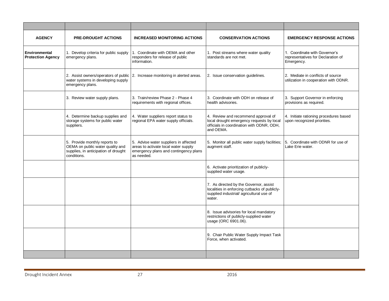| <b>AGENCY</b>                             | <b>PRE-DROUGHT ACTIONS</b>                                                                                               | <b>INCREASED MONITORING ACTIONS</b>                                                                                                  | <b>CONSERVATION ACTIONS</b>                                                                                                                  | <b>EMERGENCY RESPONSE ACTIONS</b>                                                 |
|-------------------------------------------|--------------------------------------------------------------------------------------------------------------------------|--------------------------------------------------------------------------------------------------------------------------------------|----------------------------------------------------------------------------------------------------------------------------------------------|-----------------------------------------------------------------------------------|
| Environmental<br><b>Protection Agency</b> | 1. Develop criteria for public supply<br>emergency plans.                                                                | 1. Coordinate with OEMA and other<br>responders for release of public<br>information.                                                | 1. Post streams where water quality<br>standards are not met.                                                                                | 1. Coordinate with Governor's<br>representatives for Declaration of<br>Emergency. |
|                                           | water systems in developing supply<br>emergency plans.                                                                   | 2. Assist owners/operators of public 2. Increase monitoring in alerted areas.                                                        | 2. Issue conservation guidelines.                                                                                                            | 2. Mediate in conflicts of source<br>utilization in cooperation with ODNR.        |
|                                           | 3. Review water supply plans.                                                                                            | 3. Train/review Phase 2 - Phase 4<br>requirements with regional offices.                                                             | 3. Coordinate with ODH on release of<br>health advisories.                                                                                   | 3. Support Governor in enforcing<br>provisions as required.                       |
|                                           | 4. Determine backup supplies and<br>storage systems for public water<br>suppliers.                                       | 4. Water suppliers report status to<br>regional EPA water supply officials.                                                          | 4. Review and recommend approval of<br>local drought emergency requests by local<br>officials in coordination with ODNR, ODH,<br>and OEMA.   | 4. Initiate rationing procedures based<br>upon recognized priorities.             |
|                                           | 5. Provide monthly reports to<br>OEMA on public water quality and<br>supplies, in anticipation of drought<br>conditions. | 5. Advise water suppliers in affected<br>areas to activate local water supply<br>emergency plans and contingency plans<br>as needed. | 5. Monitor all public water supply facilities;<br>augment staff.                                                                             | 5. Coordinate with ODNR for use of<br>Lake Erie water.                            |
|                                           |                                                                                                                          |                                                                                                                                      | 6. Activate prioritization of publicly-<br>supplied water usage.                                                                             |                                                                                   |
|                                           |                                                                                                                          |                                                                                                                                      | 7. As directed by the Governor, assist<br>localities in enforcing cutbacks of publicly-<br>supplied industrial/agricultural use of<br>water. |                                                                                   |
|                                           |                                                                                                                          |                                                                                                                                      | 8. Issue advisories for local mandatory<br>restrictions of publicly-supplied water<br>usage (ORC 6901.06).                                   |                                                                                   |
|                                           |                                                                                                                          |                                                                                                                                      | 9. Chair Public Water Supply Impact Task<br>Force, when activated.                                                                           |                                                                                   |
|                                           |                                                                                                                          |                                                                                                                                      |                                                                                                                                              |                                                                                   |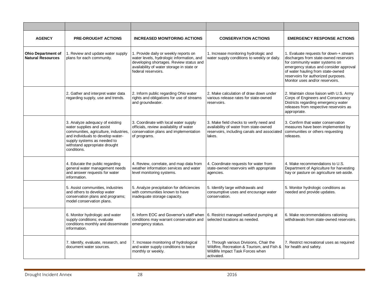| <b>AGENCY</b>                                         | <b>PRE-DROUGHT ACTIONS</b>                                                                                                                                                                                                | <b>INCREASED MONITORING ACTIONS</b>                                                                                                                                                               | <b>CONSERVATION ACTIONS</b>                                                                                                                | <b>EMERGENCY RESPONSE ACTIONS</b>                                                                                                                                                                                                                                           |
|-------------------------------------------------------|---------------------------------------------------------------------------------------------------------------------------------------------------------------------------------------------------------------------------|---------------------------------------------------------------------------------------------------------------------------------------------------------------------------------------------------|--------------------------------------------------------------------------------------------------------------------------------------------|-----------------------------------------------------------------------------------------------------------------------------------------------------------------------------------------------------------------------------------------------------------------------------|
| <b>Ohio Department of</b><br><b>Natural Resources</b> | 1. Review and update water supply<br>plans for each community.                                                                                                                                                            | 1. Provide daily or weekly reports on<br>water levels, hydrologic information, and<br>developing shortages. Review status and<br>availability of water storage in state or<br>federal reservoirs. | 1. Increase monitoring hydrologic and<br>water supply conditions to weekly or daily.                                                       | 1. Evaluate requests for down-+.stream<br>discharges from state-owned reservoirs<br>for community water systems on<br>emergency status and consider approval<br>of water hauling from state-owned<br>reservoirs for authorized purposes.<br>Monitor uses and/or reservoirs. |
|                                                       | 2. Gather and interpret water data<br>regarding supply, use and trends.                                                                                                                                                   | 2. Inform public regarding Ohio water<br>rights and obligations for use of streams<br>and groundwater.                                                                                            | 2. Make calculation of draw down under<br>various release rates for state-owned<br>reservoirs.                                             | 2. Maintain close liaison with U.S. Army<br>Corps of Engineers and Conservancy<br>Districts regarding emergency water<br>releases from respective reservoirs as<br>appropriate.                                                                                             |
|                                                       | 3. Analyze adequacy of existing<br>water supplies and assist<br>communities, agriculture, industries,<br>and individuals to develop water-<br>supply systems as needed to<br>withstand appropriate drought<br>conditions. | 3. Coordinate with local water supply<br>officials, review availability of water<br>conservation plans and implementation<br>of programs.                                                         | 3. Make field checks to verify need and<br>availability of water from state-owned<br>reservoirs, including canals and associated<br>lakes. | 3. Confirm that water conservation<br>measures have been implemented by<br>communities or others requesting<br>releases.                                                                                                                                                    |
|                                                       | 4. Educate the public regarding<br>general water management needs<br>and answer requests for water<br>information.                                                                                                        | 4. Review, correlate, and map data from<br>weather information services and water<br>level monitoring systems.                                                                                    | 4. Coordinate requests for water from<br>state-owned reservoirs with appropriate<br>agencies.                                              | 4. Make recommendations to U.S.<br>Department of Agriculture for harvesting<br>hay or pasture on agriculture set-aside.                                                                                                                                                     |
|                                                       | 5. Assist communities, industries<br>and others to develop water<br>conservation plans and programs;<br>model conservation plans.                                                                                         | 5. Analyze precipitation for deficiencies<br>with communities known to have<br>inadequate storage capacity.                                                                                       | 5. Identify large withdrawals and<br>consumptive uses and encourage water<br>conservation.                                                 | 5. Monitor hydrologic conditions as<br>needed and provide updates.                                                                                                                                                                                                          |
|                                                       | 6. Monitor hydrologic and water<br>supply conditions; evaluate<br>conditions monthly and disseminate<br>information.                                                                                                      | 6. Inform EOC and Governor's staff when<br>conditions may warrant conservation and<br>emergency status.                                                                                           | 6. Restrict managed wetland pumping at<br>selected locations as needed.                                                                    | 6. Make recommendations rationing<br>withdrawals from state-owned reservoirs.                                                                                                                                                                                               |
|                                                       | 7. Identify, evaluate, research, and<br>document water sources.                                                                                                                                                           | 7. Increase monitoring of hydrological<br>and water supply conditions to twice<br>monthly or weekly.                                                                                              | 7. Through various Divisions, Chair the<br>Wildfire, Recreation & Tourism, and Fish &<br>Wildlife Impact Task Forces when<br>activated.    | 7. Restrict recreational uses as required<br>for health and safety.                                                                                                                                                                                                         |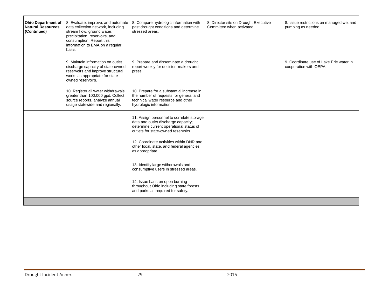| <b>Ohio Department of</b><br><b>Natural Resources</b><br>(Continued) | 8. Evaluate, improve, and automate<br>data collection network, including<br>stream flow, ground water,<br>precipitation, reservoirs, and<br>consumption. Report this<br>information to EMA on a regular<br>basis. | 8. Compare hydrologic information with<br>past drought conditions and determine<br>stressed areas.                                                                 | 8. Director sits on Drought Executive<br>Committee when activated. | 8. Issue restrictions on managed wetland<br>pumping as needed.    |
|----------------------------------------------------------------------|-------------------------------------------------------------------------------------------------------------------------------------------------------------------------------------------------------------------|--------------------------------------------------------------------------------------------------------------------------------------------------------------------|--------------------------------------------------------------------|-------------------------------------------------------------------|
|                                                                      | 9. Maintain information on outlet<br>discharge capacity of state-owned<br>reservoirs and improve structural<br>works as appropriate for state-<br>owned reservoirs.                                               | 9. Prepare and disseminate a drought<br>report weekly for decision-makers and<br>press.                                                                            |                                                                    | 9. Coordinate use of Lake Erie water in<br>cooperation with OEPA. |
|                                                                      | 10. Register all water withdrawals<br>greater than 100,000 gpd. Collect<br>source reports, analyze annual<br>usage statewide and regionally.                                                                      | 10. Prepare for a substantial increase in<br>the number of requests for general and<br>technical water resource and other<br>hydrologic information.               |                                                                    |                                                                   |
|                                                                      |                                                                                                                                                                                                                   | 11. Assign personnel to correlate storage<br>data and outlet discharge capacity;<br>determine current operational status of<br>outlets for state-owned reservoirs. |                                                                    |                                                                   |
|                                                                      |                                                                                                                                                                                                                   | 12. Coordinate activities within DNR and<br>other local, state, and federal agencies<br>as appropriate.                                                            |                                                                    |                                                                   |
|                                                                      |                                                                                                                                                                                                                   | 13. Identify large withdrawals and<br>consumptive users in stressed areas.                                                                                         |                                                                    |                                                                   |
|                                                                      |                                                                                                                                                                                                                   | 14. Issue bans on open burning<br>throughout Ohio including state forests<br>and parks as required for safety.                                                     |                                                                    |                                                                   |
|                                                                      |                                                                                                                                                                                                                   |                                                                                                                                                                    |                                                                    |                                                                   |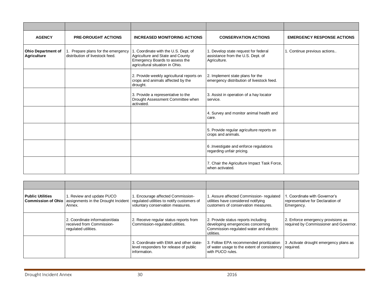| <b>AGENCY</b>                                   | <b>PRE-DROUGHT ACTIONS</b>                                         | <b>INCREASED MONITORING ACTIONS</b>                                                                                                          | <b>CONSERVATION ACTIONS</b>                                                               | <b>EMERGENCY RESPONSE ACTIONS</b> |
|-------------------------------------------------|--------------------------------------------------------------------|----------------------------------------------------------------------------------------------------------------------------------------------|-------------------------------------------------------------------------------------------|-----------------------------------|
| <b>Ohio Department of</b><br><b>Agriculture</b> | Prepare plans for the emergency<br>distribution of livestock feed. | . Coordinate with the U.S. Dept. of<br>Agriculture and State and County<br>Emergency Boards to assess the<br>agricultural situation in Ohio. | 1. Develop state request for federal<br>assistance from the U.S. Dept. of<br>Agriculture. | 1. Continue previous actions      |
|                                                 |                                                                    | 2. Provide weekly agricultural reports on<br>crops and animals affected by the<br>drought.                                                   | 2. Implement state plans for the<br>emergency distribution of livestock feed.             |                                   |
|                                                 |                                                                    | 3. Provide a representative to the<br>Drought Assessment Committee when<br>activated.                                                        | 3. Assist in operation of a hay locator<br>service.                                       |                                   |
|                                                 |                                                                    |                                                                                                                                              | 4. Survey and monitor animal health and<br>care.                                          |                                   |
|                                                 |                                                                    |                                                                                                                                              | 5. Provide regular agriculture reports on<br>crops and animals.                           |                                   |
|                                                 |                                                                    |                                                                                                                                              | 6 . Investigate and enforce regulations<br>regarding unfair pricing.                      |                                   |
|                                                 |                                                                    |                                                                                                                                              | 7. Chair the Agriculture Impact Task Force,<br>when activated.                            |                                   |

| <b>Public Utilities</b><br><b>Commission of Ohio</b> | 1. Review and update PUCO<br>Annex.                                                 | 1. Encourage affected Commission-<br>assignments in the Drought Incident   regulated utilities to notify customers of<br>voluntary conservation measures. | 1. Assure affected Commission- regulated<br>utilities have considered notifying<br>customers of conservation measures.            | 1. Coordinate with Governor's<br>representative for Declaration of<br>Emergency. |
|------------------------------------------------------|-------------------------------------------------------------------------------------|-----------------------------------------------------------------------------------------------------------------------------------------------------------|-----------------------------------------------------------------------------------------------------------------------------------|----------------------------------------------------------------------------------|
|                                                      | 2. Coordinate information/data<br>received from Commission-<br>regulated utilities. | 2. Receive regular status reports from<br>Commission-regulated utilities.                                                                                 | 2. Provide status reports including<br>developing emergencies concerning<br>Commission-regulated water and electric<br>utilities. | 2. Enforce emergency provisions as<br>required by Commissioner and Governor.     |
|                                                      |                                                                                     | 3. Coordinate with EMA and other state-<br>level responders for release of public<br>l information.                                                       | 3. Follow EPA recommended prioritization<br>of water usage to the extent of consistency required.<br>with PUCO rules.             | 3. Activate drought emergency plans as                                           |